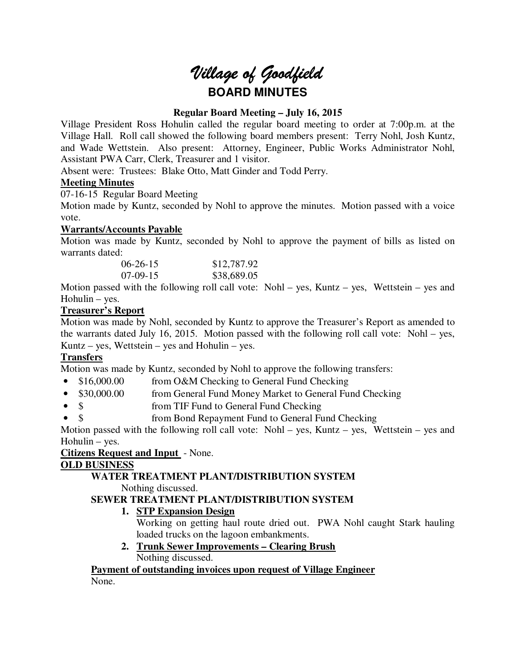# *Village of Goodfield* **BOARD MINUTES**

# **Regular Board Meeting – July 16, 2015**

Village President Ross Hohulin called the regular board meeting to order at 7:00p.m. at the Village Hall. Roll call showed the following board members present: Terry Nohl, Josh Kuntz, and Wade Wettstein. Also present: Attorney, Engineer, Public Works Administrator Nohl, Assistant PWA Carr, Clerk, Treasurer and 1 visitor.

Absent were: Trustees: Blake Otto, Matt Ginder and Todd Perry.

# **Meeting Minutes**

07-16-15 Regular Board Meeting

Motion made by Kuntz, seconded by Nohl to approve the minutes. Motion passed with a voice vote.

# **Warrants/Accounts Payable**

Motion was made by Kuntz, seconded by Nohl to approve the payment of bills as listed on warrants dated:

| $06-26-15$ | \$12,787.92 |
|------------|-------------|
| $07-09-15$ | \$38,689.05 |

Motion passed with the following roll call vote: Nohl – yes, Kuntz – yes, Wettstein – yes and Hohulin – yes.

# **Treasurer's Report**

Motion was made by Nohl, seconded by Kuntz to approve the Treasurer's Report as amended to the warrants dated July 16, 2015. Motion passed with the following roll call vote: Nohl – yes, Kuntz – yes, Wettstein – yes and Hohulin – yes.

# **Transfers**

Motion was made by Kuntz, seconded by Nohl to approve the following transfers:

- \$16,000.00 from O&M Checking to General Fund Checking
- \$30,000.00 from General Fund Money Market to General Fund Checking
- \$ from TIF Fund to General Fund Checking
- \$ from Bond Repayment Fund to General Fund Checking

Motion passed with the following roll call vote: Nohl – yes, Kuntz – yes, Wettstein – yes and Hohulin – yes.

## **Citizens Request and Input** - None.

## **OLD BUSINESS**

# **WATER TREATMENT PLANT/DISTRIBUTION SYSTEM**

Nothing discussed.

# **SEWER TREATMENT PLANT/DISTRIBUTION SYSTEM**

# **1. STP Expansion Design**

Working on getting haul route dried out. PWA Nohl caught Stark hauling loaded trucks on the lagoon embankments.

**2. Trunk Sewer Improvements – Clearing Brush**  Nothing discussed.

**Payment of outstanding invoices upon request of Village Engineer**  None.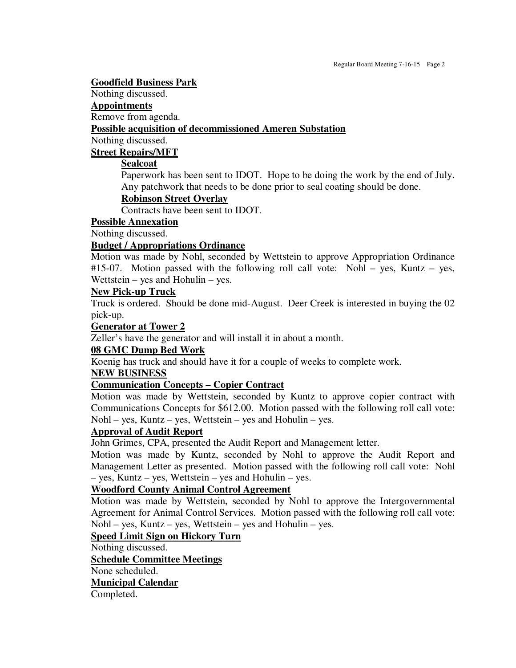#### **Goodfield Business Park**

Nothing discussed.

#### **Appointments**

Remove from agenda.

#### **Possible acquisition of decommissioned Ameren Substation**

Nothing discussed.

## **Street Repairs/MFT**

## **Sealcoat**

Paperwork has been sent to IDOT. Hope to be doing the work by the end of July. Any patchwork that needs to be done prior to seal coating should be done.

## **Robinson Street Overlay**

Contracts have been sent to IDOT.

## **Possible Annexation**

Nothing discussed.

#### **Budget / Appropriations Ordinance**

Motion was made by Nohl, seconded by Wettstein to approve Appropriation Ordinance #15-07. Motion passed with the following roll call vote: Nohl – yes, Kuntz – yes, Wettstein – yes and Hohulin – yes.

## **New Pick-up Truck**

Truck is ordered. Should be done mid-August. Deer Creek is interested in buying the 02 pick-up.

#### **Generator at Tower 2**

Zeller's have the generator and will install it in about a month.

## **08 GMC Dump Bed Work**

Koenig has truck and should have it for a couple of weeks to complete work.

#### **NEW BUSINESS**

## **Communication Concepts – Copier Contract**

Motion was made by Wettstein, seconded by Kuntz to approve copier contract with Communications Concepts for \$612.00. Motion passed with the following roll call vote: Nohl – yes, Kuntz – yes, Wettstein – yes and Hohulin – yes.

# **Approval of Audit Report**

John Grimes, CPA, presented the Audit Report and Management letter.

Motion was made by Kuntz, seconded by Nohl to approve the Audit Report and Management Letter as presented. Motion passed with the following roll call vote: Nohl – yes, Kuntz – yes, Wettstein – yes and Hohulin – yes.

# **Woodford County Animal Control Agreement**

Motion was made by Wettstein, seconded by Nohl to approve the Intergovernmental Agreement for Animal Control Services. Motion passed with the following roll call vote: Nohl – yes, Kuntz – yes, Wettstein – yes and Hohulin – yes.

## **Speed Limit Sign on Hickory Turn**

Nothing discussed.

#### **Schedule Committee Meetings**

None scheduled.

## **Municipal Calendar**

Completed.